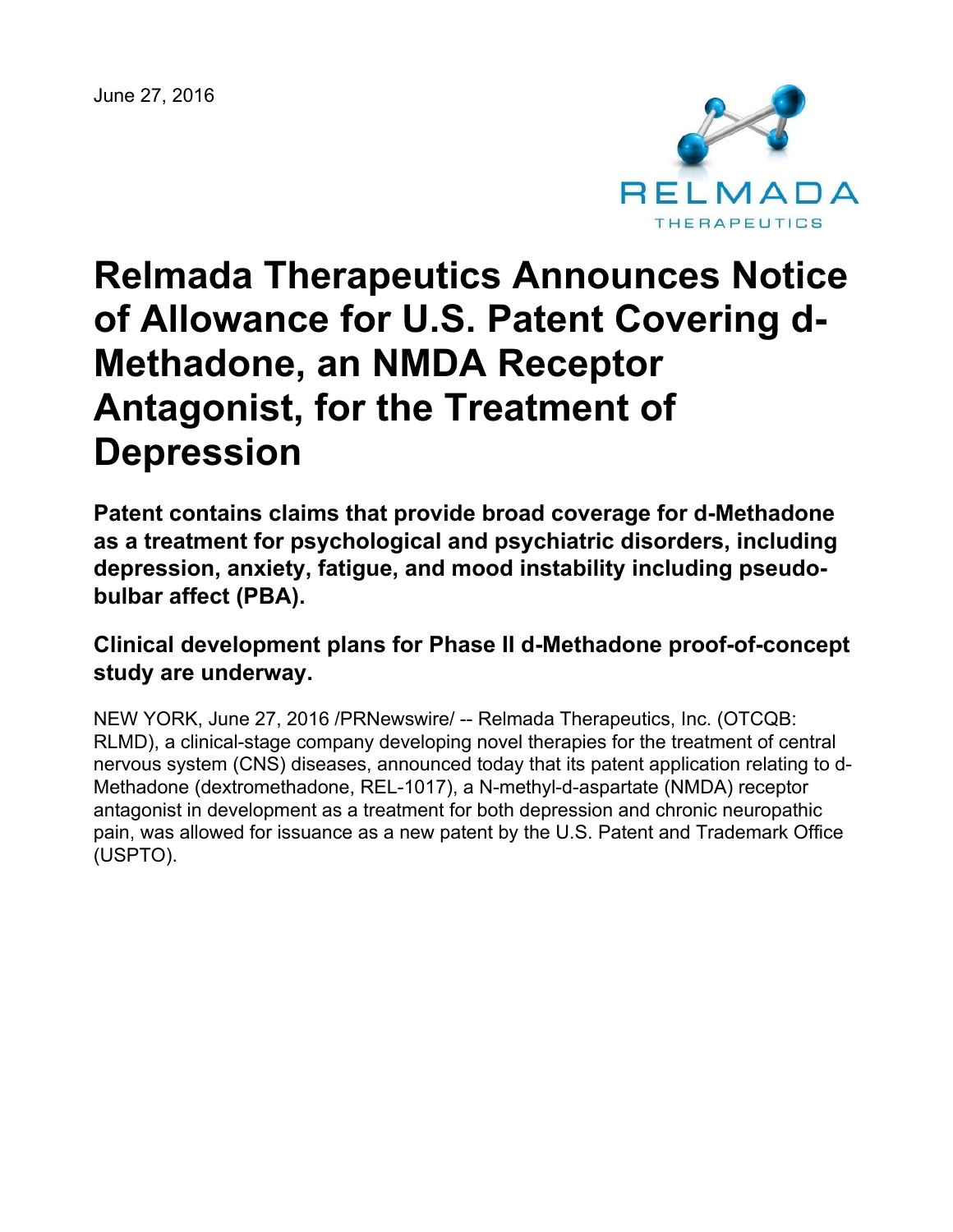June 27, 2016



# **Relmada Therapeutics Announces Notice of Allowance for U.S. Patent Covering d-Methadone, an NMDA Receptor Antagonist, for the Treatment of Depression**

**Patent contains claims that provide broad coverage for d-Methadone as a treatment for psychological and psychiatric disorders, including depression, anxiety, fatigue, and mood instability including pseudobulbar affect (PBA).**

**Clinical development plans for Phase II d-Methadone proof-of-concept study are underway.**

NEW YORK, June 27, 2016 /PRNewswire/ -- Relmada Therapeutics, Inc. (OTCQB: RLMD), a clinical-stage company developing novel therapies for the treatment of central nervous system (CNS) diseases, announced today that its patent application relating to d-Methadone (dextromethadone, REL-1017), a N-methyl-d-aspartate (NMDA) receptor antagonist in development as a treatment for both depression and chronic neuropathic pain, was allowed for issuance as a new patent by the U.S. Patent and Trademark Office (USPTO).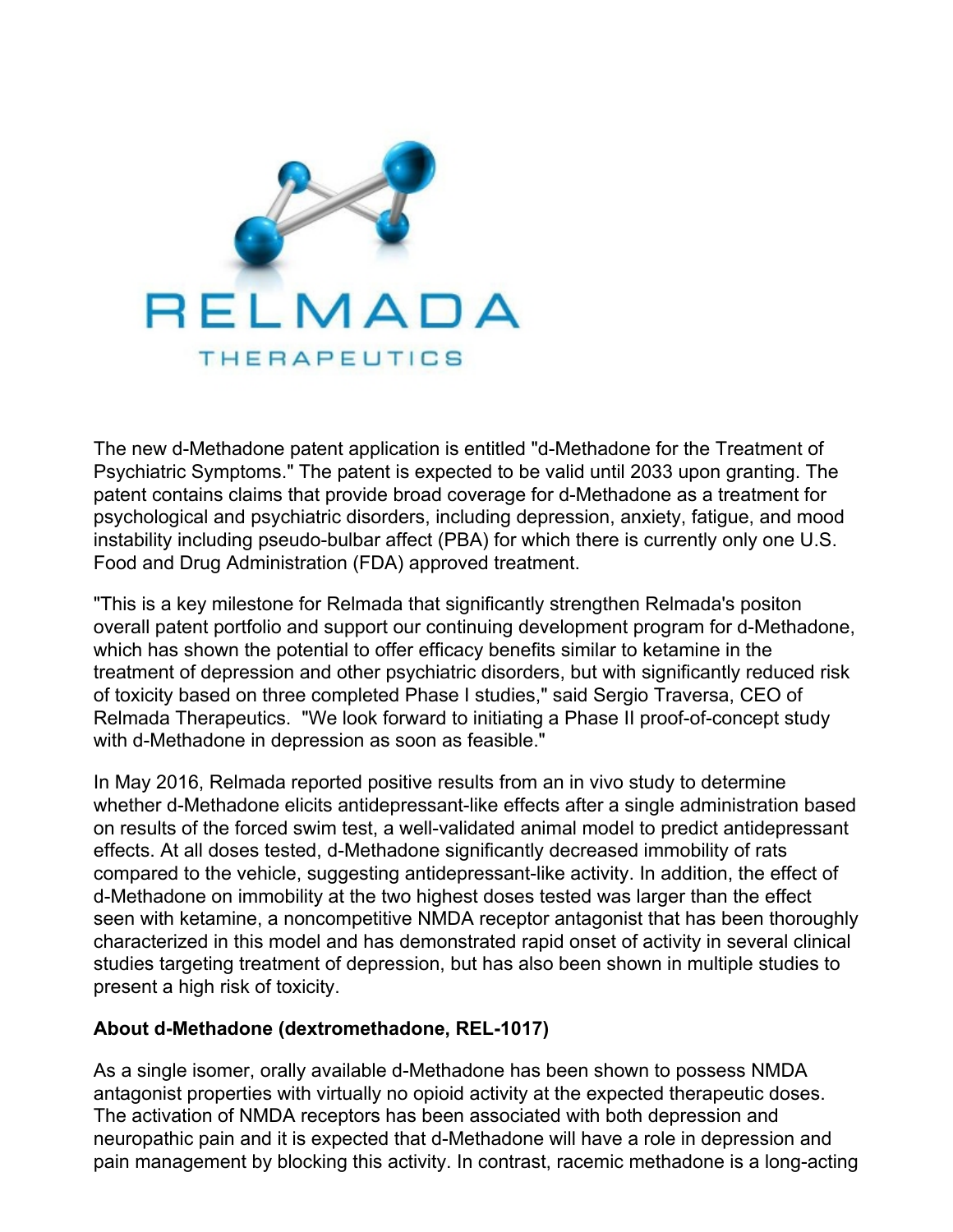

The new d-Methadone patent application is entitled "d-Methadone for the Treatment of Psychiatric Symptoms." The patent is expected to be valid until 2033 upon granting. The patent contains claims that provide broad coverage for d-Methadone as a treatment for psychological and psychiatric disorders, including depression, anxiety, fatigue, and mood instability including pseudo-bulbar affect (PBA) for which there is currently only one U.S. Food and Drug Administration (FDA) approved treatment.

"This is a key milestone for Relmada that significantly strengthen Relmada's positon overall patent portfolio and support our continuing development program for d-Methadone, which has shown the potential to offer efficacy benefits similar to ketamine in the treatment of depression and other psychiatric disorders, but with significantly reduced risk of toxicity based on three completed Phase I studies," said Sergio Traversa, CEO of Relmada Therapeutics. "We look forward to initiating a Phase II proof-of-concept study with d-Methadone in depression as soon as feasible."

In May 2016, Relmada reported positive results from an in vivo study to determine whether d-Methadone elicits antidepressant-like effects after a single administration based on results of the forced swim test, a well-validated animal model to predict antidepressant effects. At all doses tested, d-Methadone significantly decreased immobility of rats compared to the vehicle, suggesting antidepressant-like activity. In addition, the effect of d-Methadone on immobility at the two highest doses tested was larger than the effect seen with ketamine, a noncompetitive NMDA receptor antagonist that has been thoroughly characterized in this model and has demonstrated rapid onset of activity in several clinical studies targeting treatment of depression, but has also been shown in multiple studies to present a high risk of toxicity.

#### **About d-Methadone (dextromethadone, REL-1017)**

As a single isomer, orally available d-Methadone has been shown to possess NMDA antagonist properties with virtually no opioid activity at the expected therapeutic doses. The activation of NMDA receptors has been associated with both depression and neuropathic pain and it is expected that d-Methadone will have a role in depression and pain management by blocking this activity. In contrast, racemic methadone is a long-acting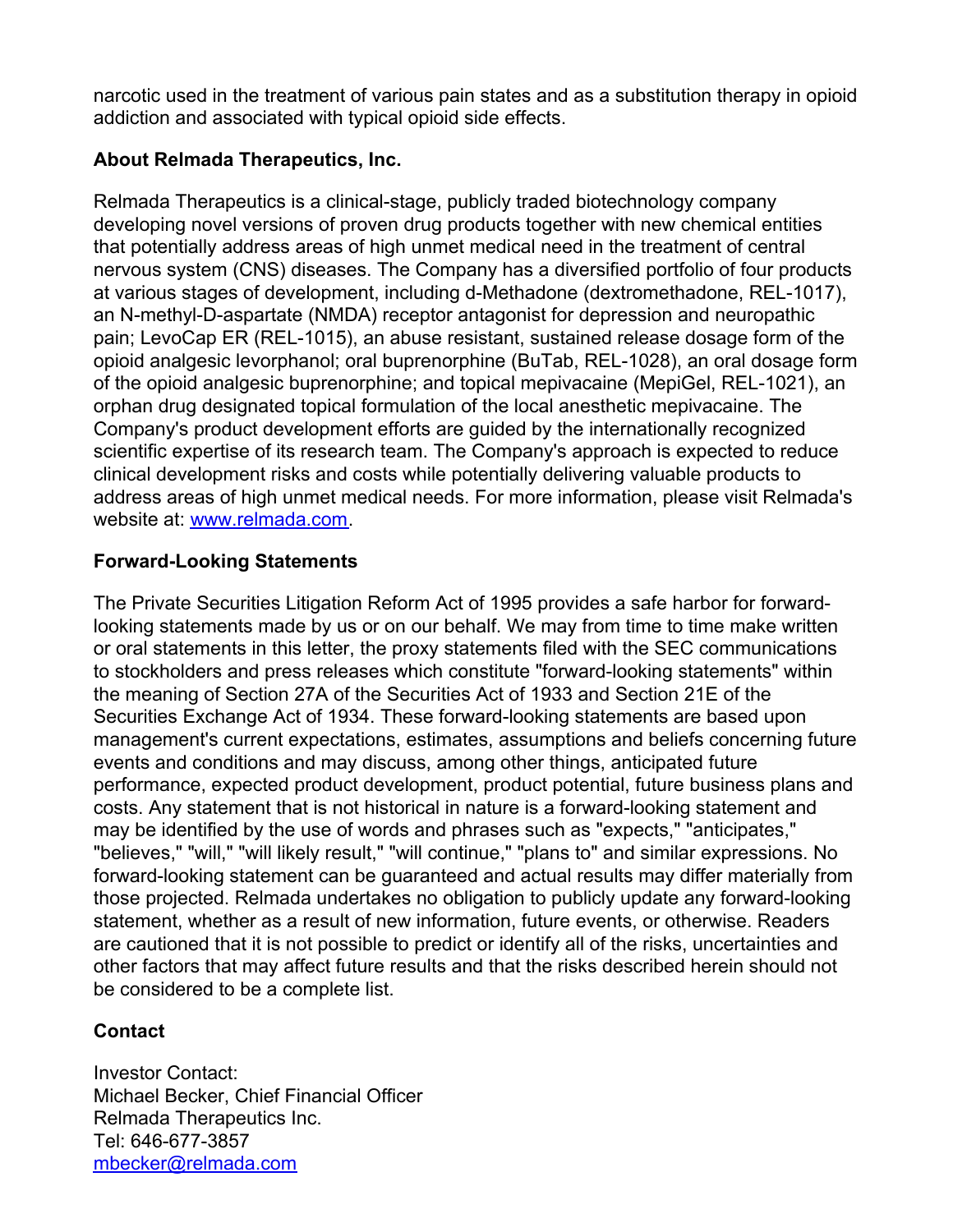narcotic used in the treatment of various pain states and as a substitution therapy in opioid addiction and associated with typical opioid side effects.

### **About Relmada Therapeutics, Inc.**

Relmada Therapeutics is a clinical-stage, publicly traded biotechnology company developing novel versions of proven drug products together with new chemical entities that potentially address areas of high unmet medical need in the treatment of central nervous system (CNS) diseases. The Company has a diversified portfolio of four products at various stages of development, including d-Methadone (dextromethadone, REL-1017), an N-methyl-D-aspartate (NMDA) receptor antagonist for depression and neuropathic pain; LevoCap ER (REL-1015), an abuse resistant, sustained release dosage form of the opioid analgesic levorphanol; oral buprenorphine (BuTab, REL-1028), an oral dosage form of the opioid analgesic buprenorphine; and topical mepivacaine (MepiGel, REL-1021), an orphan drug designated topical formulation of the local anesthetic mepivacaine. The Company's product development efforts are guided by the internationally recognized scientific expertise of its research team. The Company's approach is expected to reduce clinical development risks and costs while potentially delivering valuable products to address areas of high unmet medical needs. For more information, please visit Relmada's website at: [www.relmada.com](http://www.relmada.com/).

## **Forward-Looking Statements**

The Private Securities Litigation Reform Act of 1995 provides a safe harbor for forwardlooking statements made by us or on our behalf. We may from time to time make written or oral statements in this letter, the proxy statements filed with the SEC communications to stockholders and press releases which constitute "forward-looking statements" within the meaning of Section 27A of the Securities Act of 1933 and Section 21E of the Securities Exchange Act of 1934. These forward-looking statements are based upon management's current expectations, estimates, assumptions and beliefs concerning future events and conditions and may discuss, among other things, anticipated future performance, expected product development, product potential, future business plans and costs. Any statement that is not historical in nature is a forward-looking statement and may be identified by the use of words and phrases such as "expects," "anticipates," "believes," "will," "will likely result," "will continue," "plans to" and similar expressions. No forward-looking statement can be guaranteed and actual results may differ materially from those projected. Relmada undertakes no obligation to publicly update any forward-looking statement, whether as a result of new information, future events, or otherwise. Readers are cautioned that it is not possible to predict or identify all of the risks, uncertainties and other factors that may affect future results and that the risks described herein should not be considered to be a complete list.

#### **Contact**

Investor Contact: Michael Becker, Chief Financial Officer Relmada Therapeutics Inc. Tel: 646-677-3857 [mbecker@relmada.com](mailto:mbecker@relmada.com)